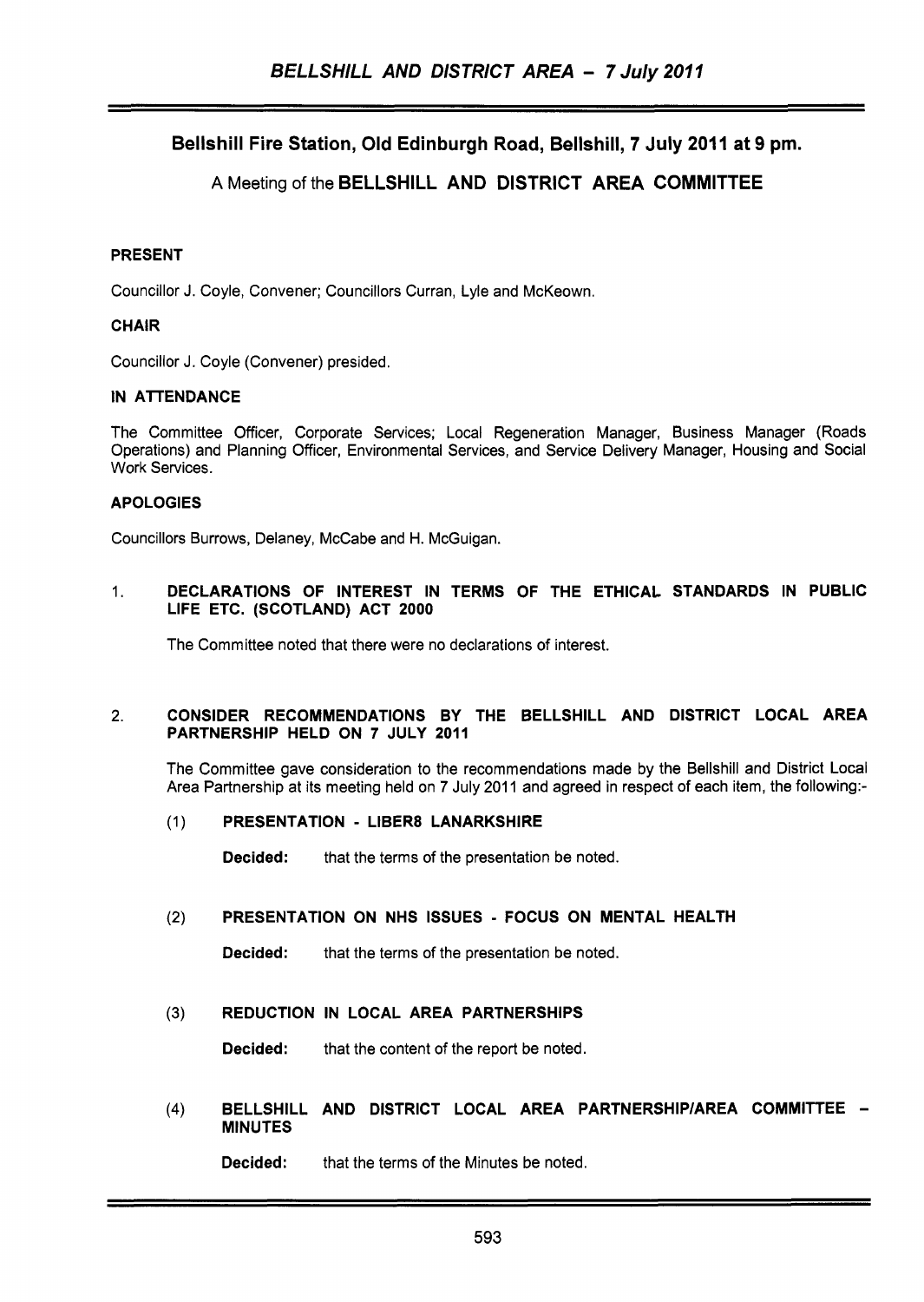# Bellshill Fire Station, Old Edinburgh Road, Bellshill, 7 July 2011 at 9 pm.

# A Meeting of the BELLSHILL AND DISTRICT AREA COMMITTEE

## PRESENT

Councillor J. Coyle, Convener; Councillors Curran, Lyle and McKeown.

## CHAIR

Councillor J. Coyle (Convener) presided.

## IN ATTENDANCE

The Committee Officer, Corporate Services; Local Regeneration Manager, Business Manager (Roads Operations) and Planning Officer, Environmental Services, and Service Delivery Manager, Housing and Social Work Services.

# APOLOGIES

Councillors Burrows, Delaney, McCabe and H. McGuigan.

## 1. DECLARATIONS OF INTEREST IN TERMS OF THE ETHICAL STANDARDS IN PUBLIC LIFE ETC. (SCOTLAND) ACT 2000

The Committee noted that there were no declarations of interest.

## 2. CONSIDER RECOMMENDATIONS BY THE BELLSHILL AND DISTRICT LOCAL AREA PARTNERSHIP HELD ON 7 JULY 2011

The Committee gave consideration to the recommendations made by the Bellshill and District Local Area Partnership at its meeting held on 7 July 2011 and agreed in respect of each item, the following:-

## (1) PRESENTATION - LIBER8 LANARKSHIRE

**Decided:** that the terms of the presentation be noted.

## (2) PRESENTATION ON NHS ISSUES - FOCUS ON MENTAL HEALTH

Decided: that the terms of the presentation be noted.

## **(3)** REDUCTION IN LOCAL AREA PARTNERSHIPS

Decided: that the content of the report be noted.

(4) BELLSHILL AND DISTRICT LOCAL AREA PARTNERSHIP/AREA COMMITTEE -MINUTES

Decided: that the terms of the Minutes be noted.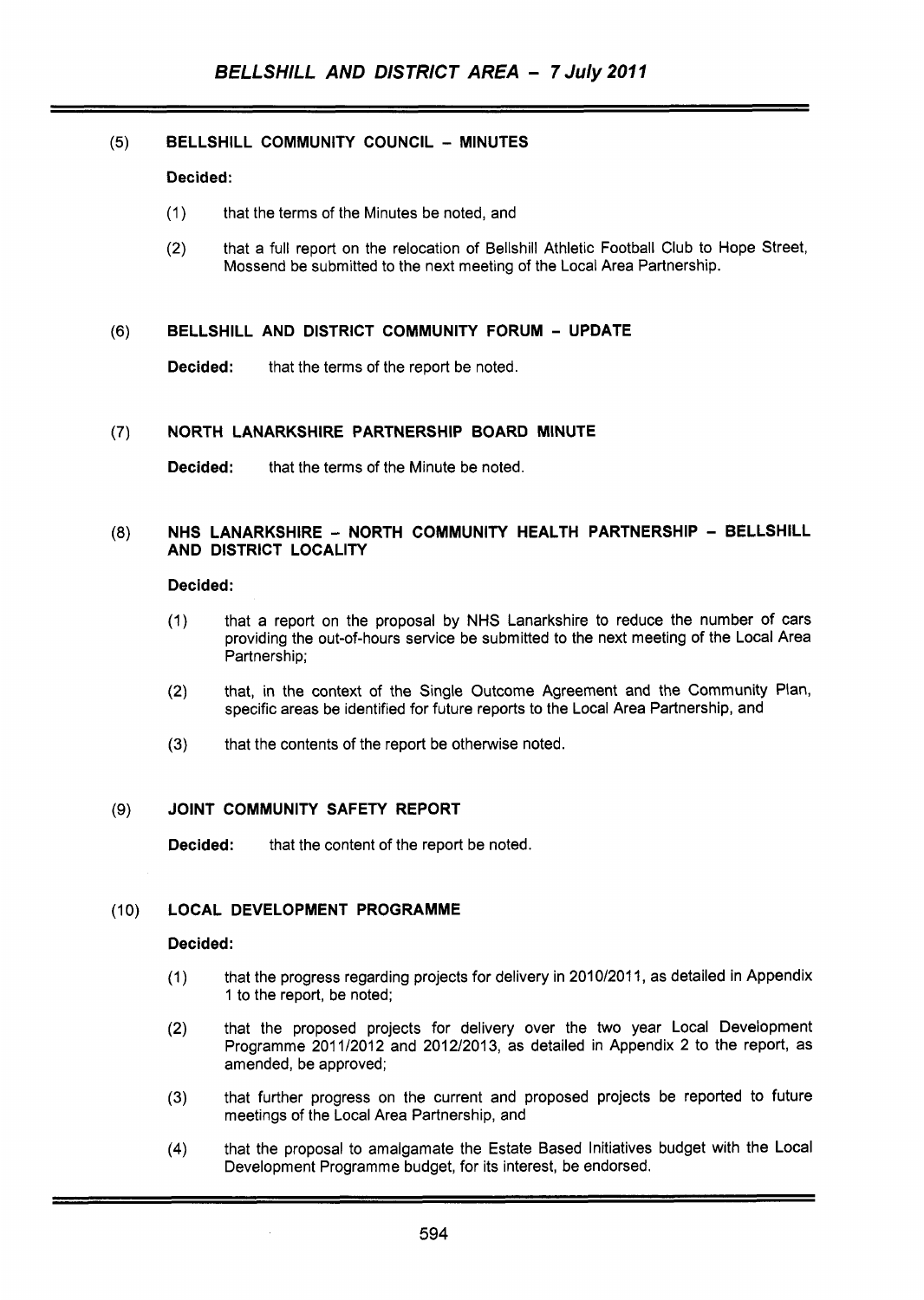## (5) **BELLSHILL COMMUNITY COUNCIL** - **MINUTES**

#### **Decided:**

- (1) that the terms of the Minutes be noted, and
- (2) that a full report on the relocation of Bellshill Athletic Football Club to Hope Street, Mossend be submitted to the next meeting of the Local Area Partnership.

#### **(6) BELLSHILL AND DISTRICT COMMUNITY FORUM** - **UPDATE**

**Decided:** that the terms of the report be noted.

#### **(7) NORTH LANARKSHIRE PARTNERSHIP BOARD MINUTE**

**Decided:** that the terms of the Minute be noted.

#### *(8)* **NHS LANARKSHIRE** - **NORTH COMMUNITY HEALTH PARTNERSHIP** - **BELLSHILL AND DISTRICT LOCALITY**

#### **Decided:**

- (1) that a report on the proposal by NHS Lanarkshire to reduce the number of cars providing the out-of-hours service be submitted to the next meeting of the Local Area Partnership;
- (2) that, in the context of the Single Outcome Agreement and the Community Plan, specific areas be identified for future reports to the Local Area Partnership, and
- (3) that the contents of the report be otherwise noted.

## **(9) JOINT COMMUNITY SAFETY REPORT**

**Decided:** that the content of the report be noted.

## (1 0) **LOCAL DEVELOPMENT PROGRAMME**

#### **Decided:**

- (1) that the progress regarding projects for delivery in 2010/2011, as detailed in Appendix 1 to the report, be noted;
- (2) that the proposed projects for delivery over the two year Local Development Programme 2011/2012 and 2012/2013, as detailed in Appendix 2 to the report, as amended, be approved;
- that further progress on the current and proposed projects be reported to future meetings of the Local Area Partnership, and (3)
- that the proposal to amalgamate the Estate Based Initiatives budget with the Local Development Programme budget, for its interest, be endorsed. (4)